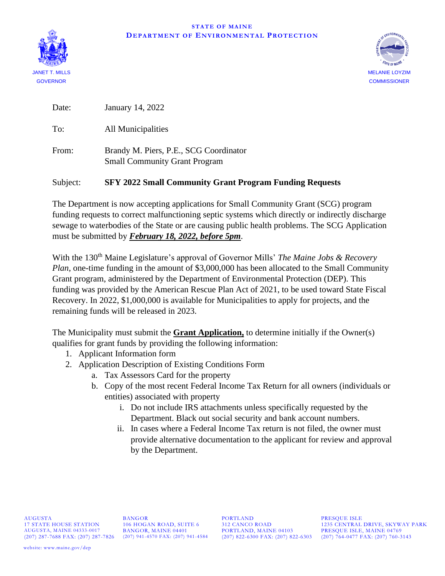



Date: January 14, 2022

To: All Municipalities

From: Brandy M. Piers, P.E., SCG Coordinator Small Community Grant Program

## Subject: **SFY 2022 Small Community Grant Program Funding Requests**

The Department is now accepting applications for Small Community Grant (SCG) program funding requests to correct malfunctioning septic systems which directly or indirectly discharge sewage to waterbodies of the State or are causing public health problems. The SCG Application must be submitted by *February 18, 2022, before 5pm*.

With the 130<sup>th</sup> Maine Legislature's approval of Governor Mills' *The Maine Jobs & Recovery Plan*, one-time funding in the amount of \$3,000,000 has been allocated to the Small Community Grant program, administered by the Department of Environmental Protection (DEP). This funding was provided by the American Rescue Plan Act of 2021, to be used toward State Fiscal Recovery. In 2022, \$1,000,000 is available for Municipalities to apply for projects, and the remaining funds will be released in 2023.

The Municipality must submit the **Grant Application,** to determine initially if the Owner(s) qualifies for grant funds by providing the following information:

- 1. Applicant Information form
- 2. Application Description of Existing Conditions Form
	- a. Tax Assessors Card for the property
	- b. Copy of the most recent Federal Income Tax Return for all owners (individuals or entities) associated with property
		- i. Do not include IRS attachments unless specifically requested by the Department. Black out social security and bank account numbers.
		- ii. In cases where a Federal Income Tax return is not filed, the owner must provide alternative documentation to the applicant for review and approval by the Department.

AUGUSTA BANGOR BORTLAND PRESQUE ISLE<br>17 STATE HOUSE STATION 106 HOGAN ROAD, SUITE 6 312 CANCO ROAD 1235 CENTRAL PORTLAND, MAINE 04103<br>(207) 822-6300 FAX: (207) 822-6303 (207) 764-0477 FAX: (207) 760-3143

17 STATE HOUSE STATION 106 HOGAN ROAD, SUITE 6 312 CANCO ROAD 1235 CENTRAL DRIVE, SKYWAY PARK AUGUSTA, MAINE 04333-0017 BANGOR, MAINE 04401 PORTLAND, MAINE 04103 PRESQUE ISLE, MAINE 04769